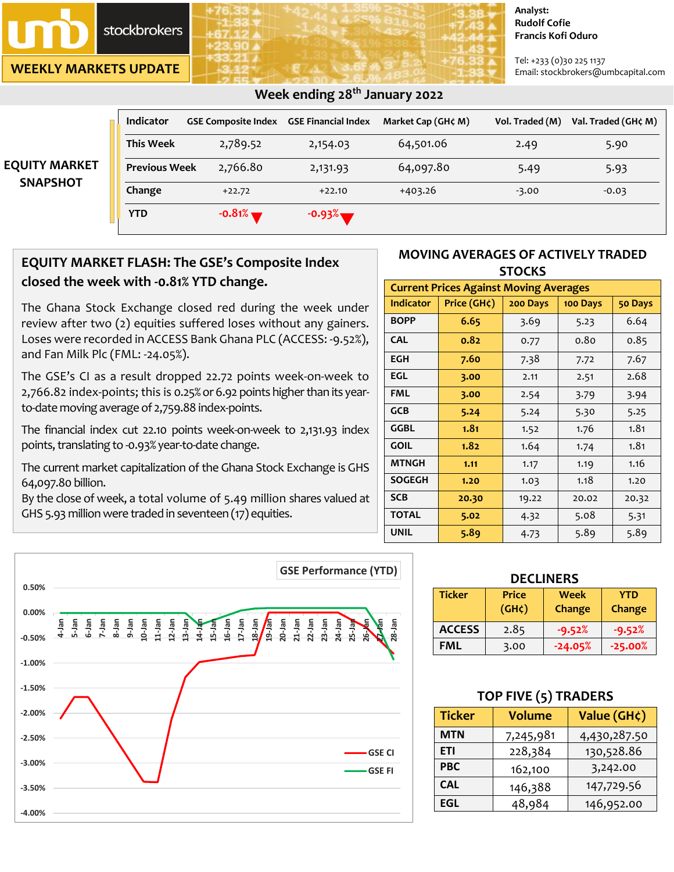

**WEEKLY MARKETS UPDATE**

#### **Analyst: Rudolf Cofie Francis Kofi Oduro**

Tel: +233 (0)30 225 1137 Email: stockbrokers@umbcapital.com

| Week ending 28 <sup>th</sup> January 2022 |                      |                                                |          |                    |                 |                     |
|-------------------------------------------|----------------------|------------------------------------------------|----------|--------------------|-----------------|---------------------|
|                                           | Indicator            | <b>GSE Composite Index GSE Financial Index</b> |          | Market Cap (GH¢ M) | Vol. Traded (M) | Val. Traded (GH¢ M) |
|                                           | <b>This Week</b>     | 2,789.52                                       | 2,154.03 | 64,501.06          | 2.49            | 5.90                |
| <b>EQUITY MARKET</b><br><b>SNAPSHOT</b>   | <b>Previous Week</b> | 2,766.80                                       | 2,131.93 | 64,097.80          | 5.49            | 5.93                |
|                                           | Change               | $+22.72$                                       | $+22.10$ | $+403.26$          | $-3.00$         | $-0.03$             |
|                                           | <b>YTD</b>           | $-0.81%$                                       | $-0.93%$ |                    |                 |                     |

## **EQUITY MARKET FLASH: The GSE's Composite Index closed the week with -0.81% YTD change.**

The Ghana Stock Exchange closed red during the week under review after two (2) equities suffered loses without any gainers. Loses were recorded in ACCESS Bank Ghana PLC (ACCESS: -9.52%), and Fan Milk Plc (FML: -24.05%).

The GSE's CI as a result dropped 22.72 points week-on-week to 2,766.82 index-points; this is 0.25% or 6.92 points higher than its yearto-date moving average of 2,759.88 index-points.

The financial index cut 22.10 points week-on-week to 2,131.93 index points, translating to -0.93% year-to-date change.

The current market capitalization of the Ghana Stock Exchange is GHS 64,097.80 billion.

By the close of week, a total volume of 5.49 million shares valued at GHS 5.93 million were traded in seventeen (17) equities.



| <b>Current Prices Against Moving Averages</b> |             |          |          |         |  |
|-----------------------------------------------|-------------|----------|----------|---------|--|
| <b>Indicator</b>                              | Price (GH¢) | 200 Days | 100 Days | 50 Days |  |
| <b>BOPP</b>                                   | 6.65        | 3.69     | 5.23     | 6.64    |  |
| <b>CAL</b>                                    | 0.82        | 0.77     | 0.80     | 0.85    |  |
| <b>EGH</b>                                    | 7.60        | 7.38     | 7.72     | 7.67    |  |
| EGL                                           | 3.00        | 2.11     | 2.51     | 2.68    |  |
| FML                                           | 3.00        | 2.54     | 3.79     | 3.94    |  |
| <b>GCB</b>                                    | 5.24        | 5.24     | 5.30     | 5.25    |  |
| GGBL                                          | 1.81        | 1.52     | 1.76     | 1.81    |  |
| <b>GOIL</b>                                   | 1.82        | 1.64     | 1.74     | 1.81    |  |
| <b>MTNGH</b>                                  | 1.11        | 1.17     | 1.19     | 1.16    |  |
| <b>SOGEGH</b>                                 | 1.20        | 1.03     | 1.18     | 1.20    |  |
| <b>SCB</b>                                    | 20.30       | 19.22    | 20.02    | 20.32   |  |
| <b>TOTAL</b>                                  | 5.02        | 4.32     | 5.08     | 5.31    |  |
| <b>UNIL</b>                                   | 5.89        | 4.73     | 5.89     | 5.89    |  |

|          |                                                                                                                                      | <b>GSE Performance (YTD)</b>                                                                                                                   |
|----------|--------------------------------------------------------------------------------------------------------------------------------------|------------------------------------------------------------------------------------------------------------------------------------------------|
| 0.50%    |                                                                                                                                      |                                                                                                                                                |
| 0.00%    |                                                                                                                                      | <b>R</b>                                                                                                                                       |
| $-0.50%$ | 7-Jan<br>9-Jan<br>10-Jan<br>$11$ -Jan<br>$\frac{12 - \text{Jan}}{13 - \text{Jan}}$<br>6-Jan<br>arer-8<br>5-Jan<br>4-Jan<br>$14 - 15$ | $28 - Jan$<br>$17$ -Jan<br>16-Jan<br>$\frac{18}{19}$<br>20-Jan<br>21-Jan<br>22-Jan<br>$23$ -Jan<br>26-Jan<br>$24-$ Jan<br>$25 -$ Jay<br>15-Jan |
| $-1.00%$ |                                                                                                                                      |                                                                                                                                                |
| $-1.50%$ |                                                                                                                                      |                                                                                                                                                |
| $-2.00%$ |                                                                                                                                      |                                                                                                                                                |
| $-2.50%$ |                                                                                                                                      | <b>GSE CI</b>                                                                                                                                  |
| $-3.00%$ |                                                                                                                                      | <b>GSE FI</b>                                                                                                                                  |
| $-3.50%$ |                                                                                                                                      |                                                                                                                                                |
| $-4.00%$ |                                                                                                                                      |                                                                                                                                                |

| <b>DECLINERS</b> |                                    |                       |                      |  |  |
|------------------|------------------------------------|-----------------------|----------------------|--|--|
| <b>Ticker</b>    | <b>Price</b><br>(GH <sub>c</sub> ) | <b>Week</b><br>Change | <b>YTD</b><br>Change |  |  |
| <b>ACCESS</b>    | 2.85                               | $-9.52%$              | $-9.52%$             |  |  |
| <b>FML</b>       | 3.00                               | $-24.05%$             | $-25.00%$            |  |  |

## **TOP FIVE (5) TRADERS**

| <b>Ticker</b> | <b>Volume</b> | Value (GH¢)  |  |
|---------------|---------------|--------------|--|
| <b>MTN</b>    | 7,245,981     | 4,430,287.50 |  |
| ETI           | 228,384       | 130,528.86   |  |
| <b>PBC</b>    | 162,100       | 3,242.00     |  |
| <b>CAL</b>    | 146,388       | 147,729.56   |  |
| EGL           | 48,984        | 146,952.00   |  |